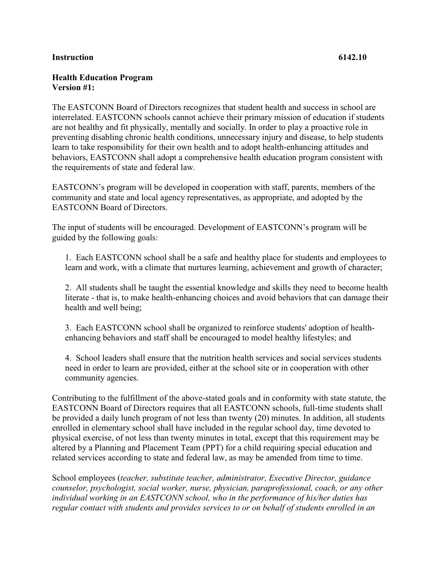## **Instruction 6142.10**

## **Health Education Program Version #1:**

The EASTCONN Board of Directors recognizes that student health and success in school are interrelated. EASTCONN schools cannot achieve their primary mission of education if students are not healthy and fit physically, mentally and socially. In order to play a proactive role in preventing disabling chronic health conditions, unnecessary injury and disease, to help students learn to take responsibility for their own health and to adopt health-enhancing attitudes and behaviors, EASTCONN shall adopt a comprehensive health education program consistent with the requirements of state and federal law.

EASTCONN's program will be developed in cooperation with staff, parents, members of the community and state and local agency representatives, as appropriate, and adopted by the EASTCONN Board of Directors.

The input of students will be encouraged. Development of EASTCONN's program will be guided by the following goals:

1. Each EASTCONN school shall be a safe and healthy place for students and employees to learn and work, with a climate that nurtures learning, achievement and growth of character;

2. All students shall be taught the essential knowledge and skills they need to become health literate - that is, to make health-enhancing choices and avoid behaviors that can damage their health and well being;

3. Each EASTCONN school shall be organized to reinforce students' adoption of healthenhancing behaviors and staff shall be encouraged to model healthy lifestyles; and

4. School leaders shall ensure that the nutrition health services and social services students need in order to learn are provided, either at the school site or in cooperation with other community agencies.

Contributing to the fulfillment of the above-stated goals and in conformity with state statute, the EASTCONN Board of Directors requires that all EASTCONN schools, full-time students shall be provided a daily lunch program of not less than twenty (20) minutes. In addition, all students enrolled in elementary school shall have included in the regular school day, time devoted to physical exercise, of not less than twenty minutes in total, except that this requirement may be altered by a Planning and Placement Team (PPT) for a child requiring special education and related services according to state and federal law, as may be amended from time to time.

School employees (*teacher, substitute teacher, administrator, Executive Director, guidance counselor, psychologist, social worker, nurse, physician, paraprofessional, coach, or any other individual working in an EASTCONN school, who in the performance of his/her duties has regular contact with students and provides services to or on behalf of students enrolled in an*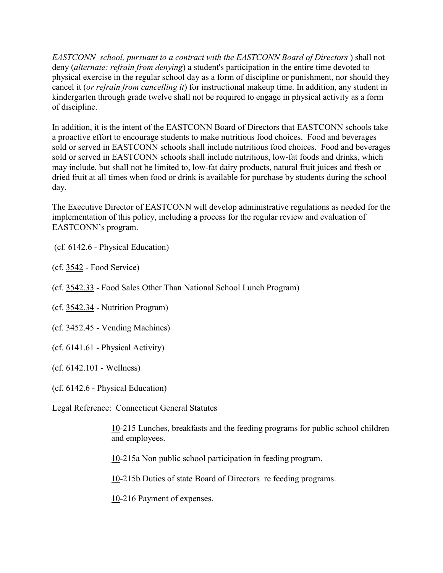*EASTCONN school, pursuant to a contract with the EASTCONN Board of Directors* ) shall not deny (*alternate: refrain from denying*) a student's participation in the entire time devoted to physical exercise in the regular school day as a form of discipline or punishment, nor should they cancel it (*or refrain from cancelling it*) for instructional makeup time. In addition, any student in kindergarten through grade twelve shall not be required to engage in physical activity as a form of discipline.

In addition, it is the intent of the EASTCONN Board of Directors that EASTCONN schools take a proactive effort to encourage students to make nutritious food choices. Food and beverages sold or served in EASTCONN schools shall include nutritious food choices. Food and beverages sold or served in EASTCONN schools shall include nutritious, low-fat foods and drinks, which may include, but shall not be limited to, low-fat dairy products, natural fruit juices and fresh or dried fruit at all times when food or drink is available for purchase by students during the school day.

The Executive Director of EASTCONN will develop administrative regulations as needed for the implementation of this policy, including a process for the regular review and evaluation of EASTCONN's program.

(cf. 6142.6 - Physical Education)

(cf. [3542](http://z2policy.cabe.org/cabe/DocViewer.jsp?docid=140&z2collection=core#JD_3542) - Food Service)

(cf. [3542.33](http://z2policy.cabe.org/cabe/DocViewer.jsp?docid=144&z2collection=core#JD_3542.33) - Food Sales Other Than National School Lunch Program)

(cf. [3542.34](http://z2policy.cabe.org/cabe/DocViewer.jsp?docid=145&z2collection=core#JD_3542.34) - Nutrition Program)

(cf. 3452.45 - Vending Machines)

(cf. 6141.61 - Physical Activity)

(cf. [6142.101](http://z2policy.cabe.org/cabe/DocViewer.jsp?docid=391&z2collection=core#JD_6142.101) - Wellness)

(cf. 6142.6 - Physical Education)

Legal Reference: Connecticut General Statutes

[10-](http://www.cga.ct.gov/2011/pub/Title10.htm)215 Lunches, breakfasts and the feeding programs for public school children and employees.

[10-](http://www.cga.ct.gov/2011/pub/Title10.htm)215a Non public school participation in feeding program.

[10-](http://www.cga.ct.gov/2011/pub/Title10.htm)215b Duties of state Board of Directors re feeding programs.

[10-](http://www.cga.ct.gov/2011/pub/Title10.htm)216 Payment of expenses.